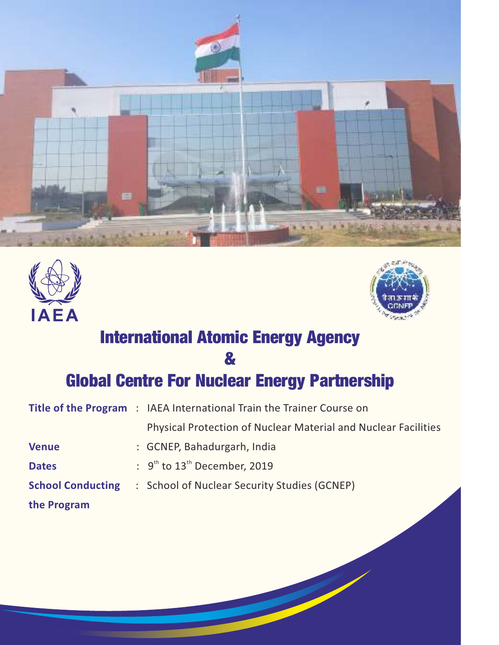





# International Atomic Energy Agency

&

### Global Centre For Nuclear Energy Partnership

|                          | <b>Title of the Program</b> : IAEA International Train the Trainer Course on |
|--------------------------|------------------------------------------------------------------------------|
|                          | <b>Physical Protection of Nuclear Material and Nuclear Facilities</b>        |
| <b>Venue</b>             | : GCNEP, Bahadurgarh, India                                                  |
| <b>Dates</b>             | $\therefore$ 9 <sup>th</sup> to 13 <sup>th</sup> December, 2019              |
| <b>School Conducting</b> | : School of Nuclear Security Studies (GCNEP)                                 |
| the Program              |                                                                              |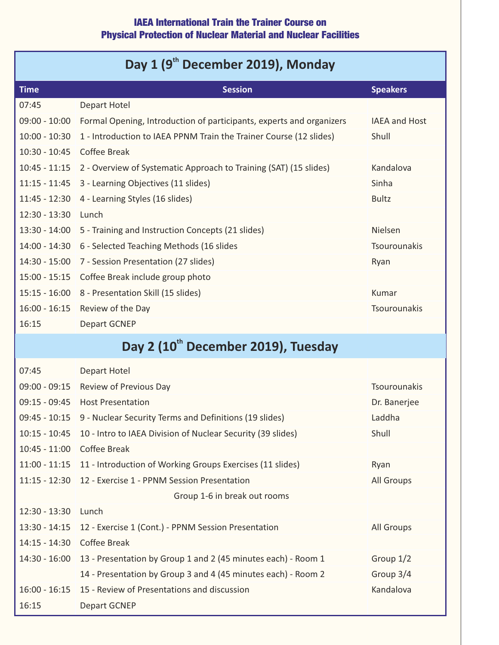#### IAEA International Train the Trainer Course on Physical Protection of Nuclear Material and Nuclear Facilities

### Day 1 (9<sup>th</sup> December 2019), Monday

| <b>Time</b>                                     | <b>Session</b>                                                       | <b>Speakers</b>      |  |
|-------------------------------------------------|----------------------------------------------------------------------|----------------------|--|
| 07:45                                           | <b>Depart Hotel</b>                                                  |                      |  |
| $09:00 - 10:00$                                 | Formal Opening, Introduction of participants, experts and organizers | <b>IAEA and Host</b> |  |
| $10:00 - 10:30$                                 | 1 - Introduction to IAEA PPNM Train the Trainer Course (12 slides)   | Shull                |  |
| $10:30 - 10:45$                                 | <b>Coffee Break</b>                                                  |                      |  |
| $10:45 - 11:15$                                 | 2 - Overview of Systematic Approach to Training (SAT) (15 slides)    | Kandalova            |  |
| $11:15 - 11:45$                                 | 3 - Learning Objectives (11 slides)                                  | Sinha                |  |
| $11:45 - 12:30$                                 | 4 - Learning Styles (16 slides)                                      | <b>Bultz</b>         |  |
| $12:30 - 13:30$                                 | Lunch                                                                |                      |  |
| $13:30 - 14:00$                                 | 5 - Training and Instruction Concepts (21 slides)                    | <b>Nielsen</b>       |  |
| $14:00 - 14:30$                                 | 6 - Selected Teaching Methods (16 slides                             | <b>Tsourounakis</b>  |  |
| $14:30 - 15:00$                                 | 7 - Session Presentation (27 slides)                                 | Ryan                 |  |
| $15:00 - 15:15$                                 | Coffee Break include group photo                                     |                      |  |
| $15:15 - 16:00$                                 | 8 - Presentation Skill (15 slides)                                   | Kumar                |  |
| $16:00 - 16:15$                                 | Review of the Day                                                    | Tsourounakis         |  |
| 16:15                                           | <b>Depart GCNEP</b>                                                  |                      |  |
| Day 2 (10 <sup>th</sup> December 2019), Tuesday |                                                                      |                      |  |
| 07:45                                           | <b>Depart Hotel</b>                                                  |                      |  |

| $09:00 - 09:15$ | Review of Previous Day                                                  | <b>Tsourounakis</b> |
|-----------------|-------------------------------------------------------------------------|---------------------|
| $09:15 - 09:45$ | <b>Host Presentation</b>                                                | Dr. Banerjee        |
| $09:45 - 10:15$ | 9 - Nuclear Security Terms and Definitions (19 slides)                  | Laddha              |
| $10:15 - 10:45$ | 10 - Intro to IAEA Division of Nuclear Security (39 slides)             | Shull               |
| $10:45 - 11:00$ | Coffee Break                                                            |                     |
|                 | 11:00 - 11:15 11 - Introduction of Working Groups Exercises (11 slides) | Ryan                |
| $11:15 - 12:30$ | 12 - Exercise 1 - PPNM Session Presentation                             | All Groups          |
|                 | Group 1-6 in break out rooms                                            |                     |
| $12:30 - 13:30$ | Lunch                                                                   |                     |
|                 | 13:30 - 14:15   12 - Exercise 1 (Cont.) - PPNM Session Presentation     | All Groups          |
| $14:15 - 14:30$ | Coffee Break                                                            |                     |
| $14:30 - 16:00$ | 13 - Presentation by Group 1 and 2 (45 minutes each) - Room 1           | Group $1/2$         |
|                 | 14 - Presentation by Group 3 and 4 (45 minutes each) - Room 2           | Group 3/4           |
| $16:00 - 16:15$ | 15 - Review of Presentations and discussion                             | Kandalova           |
| 16:15           | Depart GCNEP                                                            |                     |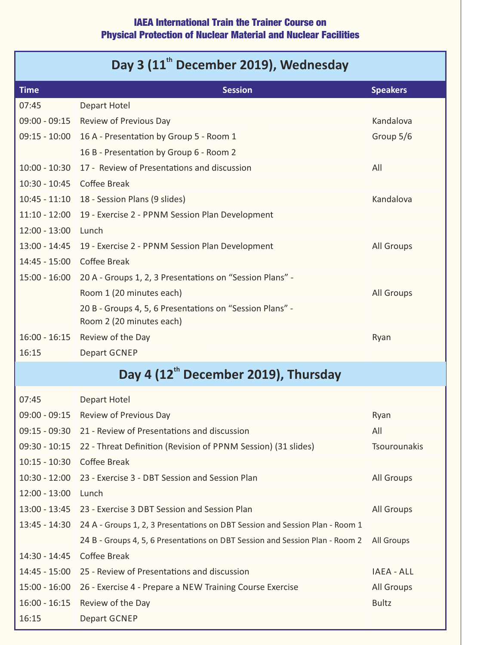#### IAEA International Train the Trainer Course on Physical Protection of Nuclear Material and Nuclear Facilities

## Day 3 (11<sup>th</sup> December 2019), Wednesday

| <b>Time</b>     | <b>Session</b>                                                                       | <b>Speakers</b>   |
|-----------------|--------------------------------------------------------------------------------------|-------------------|
| 07:45           | <b>Depart Hotel</b>                                                                  |                   |
| $09:00 - 09:15$ | Review of Previous Day                                                               | Kandalova         |
| $09:15 - 10:00$ | 16 A - Presentation by Group 5 - Room 1                                              | Group 5/6         |
|                 | 16 B - Presentation by Group 6 - Room 2                                              |                   |
| $10:00 - 10:30$ | 17 - Review of Presentations and discussion                                          | All               |
| $10:30 - 10:45$ | <b>Coffee Break</b>                                                                  |                   |
| $10:45 - 11:10$ | 18 - Session Plans (9 slides)                                                        | Kandalova         |
| $11:10 - 12:00$ | 19 - Exercise 2 - PPNM Session Plan Development                                      |                   |
| $12:00 - 13:00$ | Lunch                                                                                |                   |
|                 | 13:00 - 14:45 19 - Exercise 2 - PPNM Session Plan Development                        | <b>All Groups</b> |
| $14:45 - 15:00$ | <b>Coffee Break</b>                                                                  |                   |
| $15:00 - 16:00$ | 20 A - Groups 1, 2, 3 Presentations on "Session Plans" -                             |                   |
|                 | Room 1 (20 minutes each)                                                             | <b>All Groups</b> |
|                 | 20 B - Groups 4, 5, 6 Presentations on "Session Plans" -<br>Room 2 (20 minutes each) |                   |
| $16:00 - 16:15$ | Review of the Day                                                                    | Ryan              |
| 16:15           | <b>Depart GCNEP</b>                                                                  |                   |
|                 | Day 4 (12 <sup>th</sup> December 2019), Thursday                                     |                   |
|                 |                                                                                      |                   |
| 07:45           | <b>Depart Hotel</b>                                                                  |                   |
|                 | 09:00 - 09:15 Review of Previous Day                                                 | Ryan              |
|                 | 09:15 - 09:30 21 - Review of Presentations and discussion                            | All               |
| $09:30 - 10:15$ | 22 - Threat Definition (Revision of PPNM Session) (31 slides)                        | Tsourounakis      |
| $10:15 - 10:30$ | <b>Coffee Break</b>                                                                  |                   |
| $10:30 - 12:00$ | 23 - Exercise 3 - DBT Session and Session Plan                                       | All Groups        |
| $12:00 - 13:00$ | Lunch                                                                                |                   |
| $13:00 - 13:45$ | 23 - Exercise 3 DBT Session and Session Plan                                         | All Groups        |
| 13:45 - 14:30   | 24 A - Groups 1, 2, 3 Presentations on DBT Session and Session Plan - Room 1         |                   |
|                 | 24 B - Groups 4, 5, 6 Presentations on DBT Session and Session Plan - Room 2         | <b>All Groups</b> |
| 14:30 - 14:45   | <b>Coffee Break</b>                                                                  |                   |
| $14:45 - 15:00$ | 25 - Review of Presentations and discussion                                          | <b>IAEA - ALL</b> |
| $15:00 - 16:00$ | 26 - Exercise 4 - Prepare a NEW Training Course Exercise                             | All Groups        |
| $16:00 - 16:15$ | Review of the Day                                                                    | <b>Bultz</b>      |
| 16:15           | Depart GCNEP                                                                         |                   |